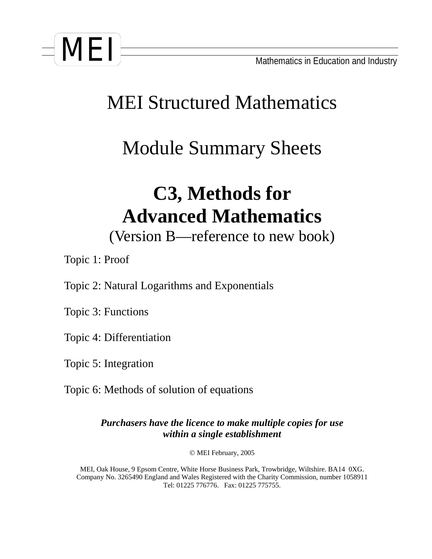

## MEI Structured Mathematics

## Module Summary Sheets

# **C3, Methods for Advanced Mathematics**

(Version B—reference to new book)

Topic 1: Proof

Topic 2: Natural Logarithms and Exponentials

Topic 3: Functions

Topic 4: Differentiation

Topic 5: Integration

Topic 6: Methods of solution of equations

*Purchasers have the licence to make multiple copies for use within a single establishment*

© MEI February, 2005

MEI, Oak House, 9 Epsom Centre, White Horse Business Park, Trowbridge, Wiltshire. BA14 0XG. Company No. 3265490 England and Wales Registered with the Charity Commission, number 1058911 Tel: 01225 776776. Fax: 01225 775755.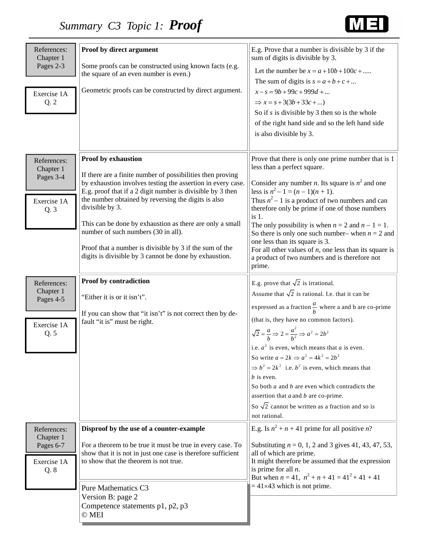

| References:<br>Chapter 1<br>Pages 2-3<br>Exercise 1A<br>Q.2 | Proof by direct argument<br>Some proofs can be constructed using known facts (e.g.<br>the square of an even number is even.)<br>Geometric proofs can be constructed by direct argument.                                                                                                                                                                                                                                                                                                                          | E.g. Prove that a number is divisible by 3 if the<br>sum of digits is divisible by 3.<br>Let the number be $x = a + 10b + 100c + $<br>The sum of digits is $s = a + b + c + $<br>$x-s = 9b+99c+999d + $<br>$\Rightarrow x = s + 3(3b + 33c + \dots)$<br>So if $s$ is divisible by 3 then so is the whole<br>of the right hand side and so the left hand side<br>is also divisible by 3.                                                                                                                                                                                                                                                                                     |
|-------------------------------------------------------------|------------------------------------------------------------------------------------------------------------------------------------------------------------------------------------------------------------------------------------------------------------------------------------------------------------------------------------------------------------------------------------------------------------------------------------------------------------------------------------------------------------------|-----------------------------------------------------------------------------------------------------------------------------------------------------------------------------------------------------------------------------------------------------------------------------------------------------------------------------------------------------------------------------------------------------------------------------------------------------------------------------------------------------------------------------------------------------------------------------------------------------------------------------------------------------------------------------|
| References:<br>Chapter 1<br>Pages 3-4<br>Exercise 1A<br>Q.3 | Proof by exhaustion<br>If there are a finite number of possibilities then proving<br>by exhaustion involves testing the assertion in every case.<br>E.g. proof that if a 2 digit number is divisible by 3 then<br>the number obtained by reversing the digits is also<br>divisible by 3.<br>This can be done by exhaustion as there are only a small<br>number of such numbers (30 in all).<br>Proof that a number is divisible by 3 if the sum of the<br>digits is divisible by 3 cannot be done by exhaustion. | Prove that there is only one prime number that is 1<br>less than a perfect square.<br>Consider any number <i>n</i> . Its square is $n^2$ and one<br>less is $n^2 - 1 = (n - 1)(n + 1)$ .<br>Thus $n^2 - 1$ is a product of two numbers and can<br>therefore only be prime if one of those numbers<br>is 1.<br>The only possibility is when $n = 2$ and $n - 1 = 1$ .<br>So there is only one such number– when $n = 2$ and<br>one less than its square is 3.<br>For all other values of $n$ , one less than its square is<br>a product of two numbers and is therefore not<br>prime.                                                                                        |
| References:<br>Chapter 1<br>Pages 4-5<br>Exercise 1A<br>Q.5 | Proof by contradiction<br>"Either it is or it isn't".<br>If you can show that "it isn't" is not correct then by de-<br>fault "it is" must be right.                                                                                                                                                                                                                                                                                                                                                              | E.g. prove that $\sqrt{2}$ is irrational.<br>Assume that $\sqrt{2}$ is rational. I.e. that it can be<br>expressed as a fraction $\frac{a}{b}$ where a and b are co-prime<br>(that is, they have no common factors).<br>$\sqrt{2} = \frac{a}{b} \Rightarrow 2 = \frac{a^2}{b^2} \Rightarrow a^2 = 2b^2$<br>i.e. $a^2$ is even, which means that a is even.<br>So write $a = 2k \Rightarrow a^2 = 4k^2 = 2b^2$<br>$\Rightarrow b^2 = 2k^2$ i.e. $b^2$ is even, which means that<br>$b$ is even.<br>So both $a$ and $b$ are even which contradicts the<br>assertion that $a$ and $b$ are co-prime.<br>So $\sqrt{2}$ cannot be written as a fraction and so is<br>not rational. |
| References:<br>Chapter 1<br>Pages 6-7<br>Exercise 1A<br>Q.8 | Disproof by the use of a counter-example<br>For a theorem to be true it must be true in every case. To<br>show that it is not in just one case is therefore sufficient<br>to show that the theorem is not true.<br>Pure Mathematics C3<br>Version B: page 2<br>Competence statements p1, p2, p3<br>$\odot$ MEI                                                                                                                                                                                                   | E.g. Is $n^2 + n + 41$ prime for all positive n?<br>Substituting $n = 0, 1, 2$ and 3 gives 41, 43, 47, 53,<br>all of which are prime.<br>It might therefore be assumed that the expression<br>is prime for all $n$ .<br>But when $n = 41$ , $n^2 + n + 41 = 41^2 + 41 + 41$<br>$= 41 \times 43$ which is not prime.                                                                                                                                                                                                                                                                                                                                                         |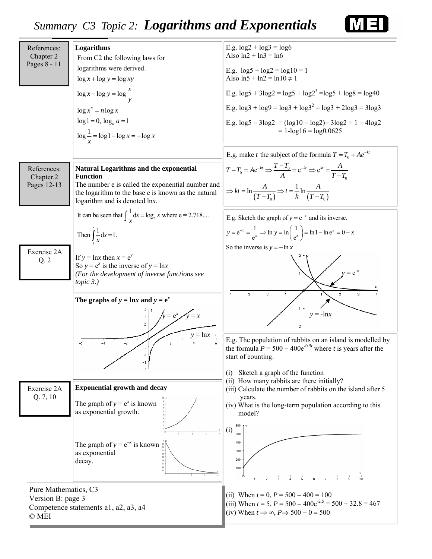### *Summary C3 Topic 2: Logarithms and Exponentials*



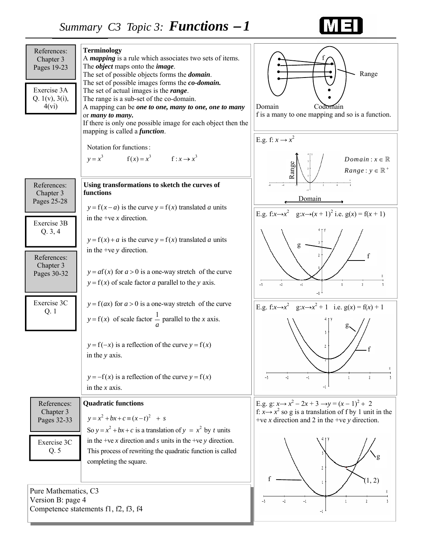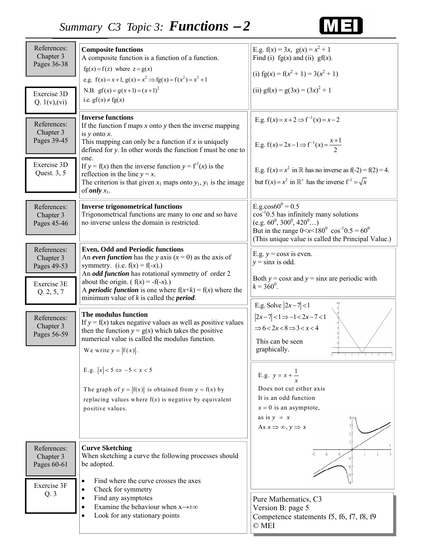### 四目

| References:<br>Chapter 3<br>Pages 36-38<br>Exercise 3D<br>Q. $1(v)$ , $(vi)$ | <b>Composite functions</b><br>A composite function is a function of a function.<br>$fg(x) = f(z)$ where $z = g(x)$<br>e.g. $f(x) = x + 1$ , $g(x) = x^2 \Rightarrow fg(x) = f(x^2) = x^2 + 1$<br>N.B. $gf(x) = g(x+1) = (x+1)^2$<br>i.e. $gf(x) \neq fg(x)$                                                                                                                                                                                            | E.g. $f(x) = 3x$ , $g(x) = x^2 + 1$<br>Find (i) $fg(x)$ and (ii) $gf(x)$ .<br>(i) $fg(x) = f(x^2 + 1) = 3(x^2 + 1)$<br>(ii) $gf(x) = g(3x) = (3x)^2 + 1$                                                                                              |
|------------------------------------------------------------------------------|--------------------------------------------------------------------------------------------------------------------------------------------------------------------------------------------------------------------------------------------------------------------------------------------------------------------------------------------------------------------------------------------------------------------------------------------------------|-------------------------------------------------------------------------------------------------------------------------------------------------------------------------------------------------------------------------------------------------------|
| References:<br>Chapter 3<br>Pages 39-45<br>Exercise 3D<br>Quest. 3, 5        | <b>Inverse functions</b><br>If the function $f$ maps $x$ onto $y$ then the inverse mapping<br>is $y$ onto $x$ .<br>This mapping can only be a function if $x$ is uniquely<br>defined for y. In other words the function f must be one to<br>one.<br>If $y = f(x)$ then the inverse function $y = f1(x)$ is the<br>reflection in the line $y = x$ .<br>The criterion is that given $x_1$ maps onto $y_1$ , $y_1$ is the image<br>of <i>only</i> $x_1$ . | E.g. $f(x) = x + 2 \implies f^{-1}(x) = x - 2$<br>E.g. $f(x) = 2x-1 \Rightarrow f^{-1}(x) = \frac{x+1}{2}$<br>E.g. $f(x) = x^2$ in R has no inverse as $f(-2) = f(2) = 4$ .<br>but $f(x) = x^2$ in $\mathbb{R}^+$ has the inverse $f^{-1} = \sqrt{x}$ |
| References:<br>Chapter 3<br>Pages 45-46                                      | <b>Inverse trigonometrical functions</b><br>Trigonometrical functions are many to one and so have<br>no inverse unless the domain is restricted.                                                                                                                                                                                                                                                                                                       | E.g.cos $60^0$ = 0.5<br>$\cos^{-1}0.5$ has infinitely many solutions<br>(e.g. $60^0$ , $300^0$ , $420^0$ )<br>But in the range $0 < x < 180^{\circ} \cos^{-1}0.5 = 60^{\circ}$<br>(This unique value is called the Principal Value.)                  |
| References:<br>Chapter 3<br>Pages 49-53<br>Exercise 3E<br>Q. 2, 5, 7         | <b>Even, Odd and Periodic functions</b><br>An even function has the y axis $(x = 0)$ as the axis of<br>symmetry. (i.e. $f(x) = f(-x)$ .)<br>An odd function has rotational symmetry of order 2<br>about the origin. ( $f(x) = -f(-x)$ .)<br>A <i>periodic function</i> is one where $f(x+k) = f(x)$ where the<br>minimum value of $k$ is called the <i>period</i> .                                                                                    | E.g. $y = \cos x$ is even.<br>$y = \sin x$ is odd.<br>Both $y = \cos x$ and $y = \sin x$ are periodic with<br>$k = 360^0$ .                                                                                                                           |
| References:<br>Chapter 3<br>Pages 56-59                                      | The modulus function<br>If $y = f(x)$ takes negative values as well as positive values<br>then the function $y = g(x)$ which takes the positive<br>numerical value is called the modulus function.<br>We write $y =  f(x) $ .                                                                                                                                                                                                                          | E.g. Solve $ 2x-7 <1$<br>$ 2x-7 $ < 1 $\Rightarrow$ -1 < 2x - 7 < 1<br>$\Rightarrow 6 < 2x < 8 \Rightarrow 3 < x < 4$<br>This can be seen<br>graphically.                                                                                             |
|                                                                              | E.g. $ x  < 5 \Leftrightarrow -5 < x < 5$<br>The graph of $y =  f(x) $ is obtained from $y = f(x)$ by<br>replacing values where $f(x)$ is negative by equivalent<br>positive values.                                                                                                                                                                                                                                                                   | E.g. $y = x + \frac{1}{x}$<br>Does not cut either axis<br>It is an odd function<br>$x = 0$ is an asymptote,<br>as is $y = x$<br>As $x \Rightarrow \infty$ , $y \Rightarrow x$                                                                         |
| References:<br>Chapter 3<br>Pages 60-61<br>Exercise 3F<br>Q.3                | <b>Curve Sketching</b><br>When sketching a curve the following processes should<br>be adopted.<br>Find where the curve crosses the axes<br>$\bullet$<br>Check for symmetry<br>Find any asymptotes<br>$\bullet$<br>Examine the behaviour when $x \rightarrow \pm \infty$<br>Look for any stationary points                                                                                                                                              | $-3$<br>$-2$<br>Pure Mathematics, C3<br>Version B: page 5<br>Competence statements f5, f6, f7, f8, f9<br>© MEI                                                                                                                                        |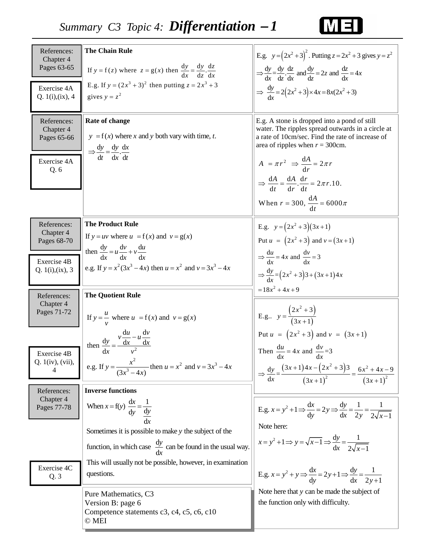

| References:<br>Chapter 4<br>Pages 63-65<br>Exercise 4A<br>Q. 1(i), (ix), 4 | <b>The Chain Rule</b><br>If $y = f(z)$ where $z = g(x)$ then $\frac{dy}{dx} = \frac{dy}{dz} \cdot \frac{dz}{dx}$ .<br>E.g. If $y = (2x^3 + 3)^2$ then putting $z = 2x^3 + 3$<br>gives $y = z^2$                                                                                                      | E.g. $y = (2x^2 + 3)^2$ . Putting $z = 2x^2 + 3$ gives $y = z^2$<br>$\Rightarrow \frac{dy}{dx} = \frac{dy}{dz} \cdot \frac{dz}{dx}$ and $\frac{dy}{dz} = 2z$ and $\frac{dz}{dx} = 4x$<br>$\Rightarrow \frac{dy}{dx} = 2(2x^2+3)\times 4x = 8x(2x^2+3)$                                                                                                                         |
|----------------------------------------------------------------------------|------------------------------------------------------------------------------------------------------------------------------------------------------------------------------------------------------------------------------------------------------------------------------------------------------|--------------------------------------------------------------------------------------------------------------------------------------------------------------------------------------------------------------------------------------------------------------------------------------------------------------------------------------------------------------------------------|
| References:<br>Chapter 4<br>Pages 65-66<br>Exercise 4A<br>Q.6              | Rate of change<br>$y = f(x)$ where x and y both vary with time, t.<br>$\Rightarrow \frac{dy}{dt} = \frac{dy}{dx} \cdot \frac{dx}{dt}$                                                                                                                                                                | E.g. A stone is dropped into a pond of still<br>water. The ripples spread outwards in a circle at<br>a rate of 10cm/sec. Find the rate of increase of<br>area of ripples when $r = 300$ cm.<br>$A = \pi r^2 \Rightarrow \frac{dA}{dr} = 2\pi r$<br>$\Rightarrow \frac{dA}{dt} = \frac{dA}{dr} \cdot \frac{dr}{dt} = 2\pi r.10.$<br>When $r = 300$ , $\frac{dA}{dt} = 6000 \pi$ |
| References:<br>Chapter 4<br>Pages 68-70<br>Exercise 4B<br>Q. 1(i), (ix), 3 | <b>The Product Rule</b><br>If $y = uv$ where $u = f(x)$ and $v = g(x)$<br>then $\frac{dy}{dx} = u \frac{dv}{dx} + v \frac{du}{dx}$<br>e.g. If $y = x^2(3x^3 - 4x)$ then $u = x^2$ and $v = 3x^3 - 4x$                                                                                                | E.g. $y = (2x^2 + 3)(3x + 1)$<br>Put $u = (2x^2 + 3)$ and $v = (3x + 1)$<br>$\Rightarrow \frac{du}{dx} = 4x$ and $\frac{dv}{dx} = 3$<br>$\Rightarrow \frac{dy}{dx} = (2x^2 + 3)3 + (3x + 1)4x$                                                                                                                                                                                 |
| References:<br>Chapter 4<br>Pages 71-72<br>Exercise 4B<br>Q. 1(iv), (vii), | <b>The Quotient Rule</b><br>If $y = u$ where $u = f(x)$ and $v = g(x)$<br>then $\frac{dy}{dx} = \frac{v \frac{du}{dx} - u \frac{dv}{dx}}{v^2}$<br>e.g. If $y = \frac{x^2}{(3x^3 - 4x)}$ then $u = x^2$ and $v = 3x^3 - 4x$                                                                           | $=18x^{2}+4x+9$<br>E.g $y = \frac{(2x^2 + 3)}{(3x + 1)}$<br>Put $u = (2x^2 + 3)$ and $v = (3x + 1)$<br>Then $\frac{du}{dx} = 4x$ and $\frac{dv}{dx} = 3$<br>$\Rightarrow \frac{dy}{dx} = \frac{(3x+1)4x - (2x^2+3)3}{(3x+1)^2} = \frac{6x^2+4x-9}{(3x+1)^2}$                                                                                                                   |
| References:<br>Chapter 4<br>Pages 77-78<br>Exercise 4C<br>Q.3              | <b>Inverse functions</b><br>When $x = f(y) \frac{dx}{dy} = \frac{1}{\frac{dy}{dx}}$<br>Sometimes it is possible to make $y$ the subject of the<br>function, in which case $\frac{dy}{dx}$ can be found in the usual way.<br>This will usually not be possible, however, in examination<br>questions. | E.g. $x = y^2 + 1 \Rightarrow \frac{dx}{dy} = 2y \Rightarrow \frac{dy}{dx} = \frac{1}{2y} = \frac{1}{2\sqrt{x-1}}$<br>Note here:<br>$x = y^2 + 1 \implies y = \sqrt{x-1} \implies \frac{dy}{dx} = \frac{1}{2\sqrt{x-1}}$<br>E.g. $x = y^2 + y \Rightarrow \frac{dx}{dy} = 2y + 1 \Rightarrow \frac{dy}{dx} = \frac{1}{2y+1}$                                                   |
|                                                                            | Pure Mathematics, C3<br>Version B: page 6<br>Competence statements c3, c4, c5, c6, c10<br>© MEI                                                                                                                                                                                                      | Note here that y can be made the subject of<br>the function only with difficulty.                                                                                                                                                                                                                                                                                              |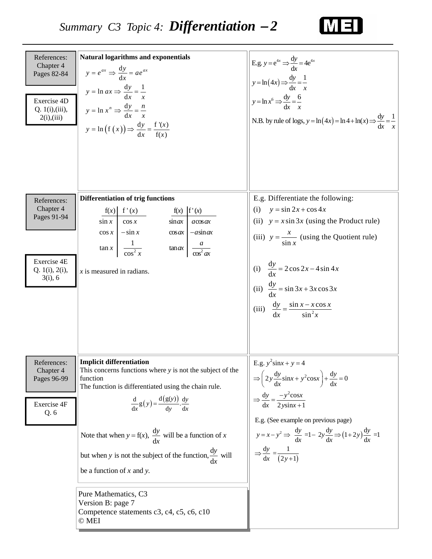

| References:<br>Chapter 4<br>Pages 82-84<br>Exercise 4D<br>Q. 1(i), (iii),<br>2(i), (iii) | <b>Natural logarithms and exponentials</b><br>$y = e^{ax} \Rightarrow \frac{dy}{dx} = ae^{ax}$<br>$y = \ln ax \Rightarrow \frac{dy}{dx} = \frac{1}{x}$<br>$y = \ln x^n \Rightarrow \frac{dy}{dx} = \frac{n}{x}$<br>$y = \ln (f(x)) \Rightarrow \frac{dy}{dx} = \frac{f'(x)}{f(x)}$                                                                                                                                                                                                                          | E.g. $y = e^{4x} \Rightarrow \frac{dy}{dx} = 4e^{4x}$<br>$y = \ln(4x) \Rightarrow \frac{dy}{dx} = \frac{1}{x}$<br>$y = \ln x^6 \Rightarrow \frac{dy}{dx} = \frac{6}{x}$<br>N.B. by rule of logs, $y = \ln(4x) = \ln 4 + \ln(x)$ $\Rightarrow \frac{dy}{dx} = \frac{1}{x}$                                                                                                |
|------------------------------------------------------------------------------------------|-------------------------------------------------------------------------------------------------------------------------------------------------------------------------------------------------------------------------------------------------------------------------------------------------------------------------------------------------------------------------------------------------------------------------------------------------------------------------------------------------------------|--------------------------------------------------------------------------------------------------------------------------------------------------------------------------------------------------------------------------------------------------------------------------------------------------------------------------------------------------------------------------|
| References:<br>Chapter 4<br>Pages 91-94<br>Exercise 4E<br>Q. 1(i), 2(i),<br>$3(i)$ , 6   | <b>Differentiation of trig functions</b><br>f(x)   f'(x)<br>f(x)   f'(x)<br>$\cos x$<br>$\sin x$<br>$\sin ax$<br>$a \cos ax$<br>$\cos x$ $-\sin x$<br>$\cos ax$   $-\sin ax$<br>$\tan x \left  \frac{1}{\cos^2 x} \right $<br>$\tan ax \left  \frac{a}{\cos^2 ax} \right $<br>$x$ is measured in radians.                                                                                                                                                                                                   | E.g. Differentiate the following:<br>(i) $y = \sin 2x + \cos 4x$<br>(ii) $y = x \sin 3x$ (using the Product rule)<br>(iii) $y = \frac{x}{\sin x}$ (using the Quotient rule)<br>(i) $\frac{dy}{dx} = 2 \cos 2x - 4 \sin 4x$<br>(ii) $\frac{dy}{dx} = \sin 3x + 3x \cos 3x$<br>(iii) $\frac{dy}{dx} = \frac{\sin x - x \cos x}{\sin^2 x}$                                  |
| References:<br>Chapter 4<br>Pages 96-99<br>Exercise 4F<br>Q. 6                           | Implicit differentiation<br>This concerns functions where $y$ is not the subject of the<br>function<br>The function is differentiated using the chain rule.<br>$rac{d}{dx}g(y) = \frac{d(g(y))}{dy} \cdot \frac{dy}{dx}$<br>Note that when $y = f(x)$ , $\frac{dy}{dx}$ will be a function of x<br>but when y is not the subject of the function, $\frac{dy}{dx}$ will<br>be a function of $x$ and $y$ .<br>Pure Mathematics, C3<br>Version B: page 7<br>Competence statements c3, c4, c5, c6, c10<br>© MEI | E.g. $y^2$ sinx + y = 4<br>$\Rightarrow \left(2y\frac{dy}{dx}\sin x + y^2\cos x\right) + \frac{dy}{dx} = 0$<br>$\Rightarrow \frac{dy}{dx} = \frac{-y^2 \cos x}{2y \sin x + 1}$<br>E.g. (See example on previous page)<br>$y = x - y^2 \implies \frac{dy}{dx} = 1 - 2y \frac{dy}{dx} \implies (1+2y) \frac{dy}{dx} = 1$<br>$\Rightarrow \frac{dy}{dx} = \frac{1}{(2y+1)}$ |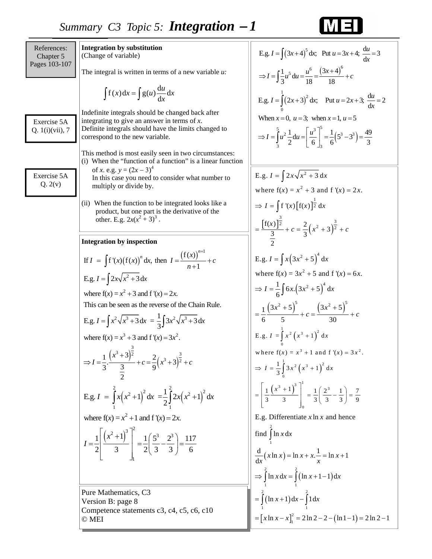### Pure Mathematics, C3 Version B: page 8 Competence statements c3, c4, c5, c6, c10 © MEI References: Chapter 5 Pages 103-107 Exercise 5A Q. 1(i)(vii), 7 **Integration by substitution** (Change of variable) The integral is written in terms of a new variable *u:*  Indefinite integrals should be changed back after integrating to give an answer in terms of *x*. Definite integrals should have the limits changed to correspond to the new variable. This method is most easily seen in two circumstances: (i) When the "function of a function" is a linear function of *x*. e.g.  $y = (2x - 3)^4$  In this case you need to consider what number to multiply or divide by. (ii) When the function to be integrated looks like a product, but one part is the derivative of the other. E.g.  $2x(x^2 + 3)^3$ . **Integration by inspection**   $\int f(x) dx = \int g(u) \frac{du}{dx} dx$ E.g.  $I = \int (3x+4)^5 dx$ ; Put  $u = 3x+4$ ;  $\frac{du}{dx} = 3$  $\frac{1}{6}u^5 du = \frac{u^6}{16} = \frac{(3x+4)^6}{16}$ 3 18 18 *x*  $\Rightarrow I = \int \frac{1}{3} u^5 du = \frac{u^6}{18} = \frac{(3x+4)^6}{18} + c$  $=\int (3x+4)^5 dx$ ; Put  $u = 3x+4$ ;  $\frac{du}{dx} =$ If  $I = \int f'(x) (f(x))^n dx$ , then  $I = \frac{(f(x))^{n+1}}{n+1} + c$ E.g.  $I = \int 2x\sqrt{x^2 + 3} dx$ where  $f(x) = x^2 + 3$  and  $f'(x) = 2x$ . E.g.  $I = \int x^2 \sqrt{x^3 + 3} dx = \frac{1}{3} \int 3x^2 \sqrt{x^3 + 3} dx$ where  $f(x) = x^3 + 3$  and  $f'(x) = 3x^2$ . This can be seen as the reverse of the Chain Rule. *n* +  $=$   $\int f'(x) (f(x))^n dx$ , then  $I = \frac{(f''(x))^{n-1}}{n} +$  $\int f'(x) (f(x))^n dx$ , then  $I = \frac{f'(x)}{n+1}$  $(x^3 + 3)$  $(x^3 + 3)$  $3+3\frac{3}{2}$  3  $\frac{1}{2} \cdot \frac{(x^3+3)^2}{2} + c = \frac{2}{3} (x^3+3)^{\frac{3}{2}}$  $3 \t 3 \t 9$ 2 *x*  $I = \frac{1}{2}$ .  $\frac{1}{2} + c = \frac{2}{3} (x^3 + 3)^2 + c$ +  $\Rightarrow I = \frac{1}{2} \cdot \frac{1}{2} + c = \frac{2}{3} (x^3 + 3)^2 +$  $(x^{2}+1)$  dx =  $\frac{1}{2}$  | 2x(x<sup>2</sup> + 1)  $1\left[\left(x^2+1\right)^3\right]^2$   $1\left(5^3\quad 2^3\right)$  117 E.g.  $I = \int_{1}^{2} x(x^2+1)^2 dx = \frac{1}{2} \int_{1}^{2} 2x(x^2+1)^2 dx$  $1 \t 1$ where  $f(x) = x^2 + 1$  and  $f'(x) = 2x$ . 1 2 3 3 2 3 3 6 *x I*  $=\frac{1}{2}\left[\frac{(x^2+1)^3}{3}\right]_1^2=\frac{1}{2}\left[\frac{5^3}{3}-\frac{2^3}{3}\right]=$ E.g.  $I = \int_{0}^{1} (2x+3)^2 dx$ ; Put  $u = 2x+3$ ;  $\frac{du}{dx} = 2$  $(5^{\circ}-3^{\circ})$ 0  $\Rightarrow I = \int_{3}^{5} u^2 \frac{1}{2} du = \left[ \frac{u^3}{6} \right]_{3}^{5} = \frac{1}{6} \left( 5^3 - 3^3 \right) = \frac{49}{3}$  $3 \quad \begin{array}{ccc} 3 & \begin{array}{ccc} 2 & \end{array} & \begin{array}{ccc} 2 & \end{array} & \end{array}$ When  $x = 0$ ,  $u = 3$ ; when  $x = 1$ ,  $u = 5$  $=\int (2x+3)^2 dx$ ; Put  $u = 2x+3$ ;  $\frac{du}{dx} =$  $\left[ f(x) \right]_2^{\frac{1}{2}}$  $=\frac{\left[ f(x) \right]^{\frac{3}{2}}}{3} + c = \frac{2}{3} (x^2 + 3)^{\frac{3}{2}} + c$ E.g.  $I = \int 2x\sqrt{x^2 + 3} dx$ where  $f(x) = x^2 + 3$  and  $f'(x) = 2x$ .  $\Rightarrow I = \int f'(x) [f(x)]^{\frac{1}{2}} dx$ 2 E.g.  $I = \int x (3x^2 + 5)^4 dx$  $\frac{1}{6} \int 6x.(3x^2 + 5)^4 d$  $\left( 3x^{2}+5\right) ^{5}$   $\left( 3x^{2}+5\right) ^{5}$ where  $f(x) = 3x^2 + 5$  and  $f'(x) = 6x$ . 6 6 5 30  $\Rightarrow I = \frac{1}{6} \int 6x \cdot (3x^2 + 5)^4 dx$  $(x^{2}+5)$  (3x)  $c = \frac{1}{2} \frac{(3x^2 + 5)^2}{(3x^2 + 5)^2} + c = \frac{(3x^2 + 5)^2}{(3x^2 + 5)^2} + c$ Exercise 5A  $Q. 2(v)$  $\frac{d}{dx}(x \ln x) = \ln x + x \cdot \frac{1}{x} = \ln x + 1$  $(\ln x + 1 - 1)$  $(\ln x + 1)$  $\left[ x \ln x - x \right]_1^2 = 2 \ln 2 - 2 - (\ln 1 - 1)$ 2 1 2 2 1 1 2 2 1 1  $=\left[x \ln x - x\right]_1^2 = 2 \ln 2 - 2 - \left(\ln 1 - 1\right) = 2 \ln 2 - 1$ E.g. Differentiate  $x \ln x$  and hence find  $\int \ln x \, dx$  $\Rightarrow \int \ln x \, dx = \int (\ln x + 1 - 1) \, dx$  $=\int (\ln x + 1) dx - \int 1 dx$  $=\ln x + x. - \ln x +$ E.g.  $I = \int_0^1 x^2 (x^3 + 1)^2 dx$ ⇒  $I = \frac{1}{3} \int_{0}^{1} 3x^{2} (x^{3} + 1)^{2} dx$  $1(x^3+1)^3$   $1(2^3+1)$  7  $\mathbf{0}$ where  $f(x) = x^3 + 1$  and  $f'(x) = 3x^2$ .  $\mathbf{0}$ 0 3 3 33 3 9  $=\left[\frac{1}{3}\frac{(x^3+1)^3}{3}\right]_0^1=\frac{1}{3}\left(\frac{2^3}{3}-\frac{1}{3}\right)=$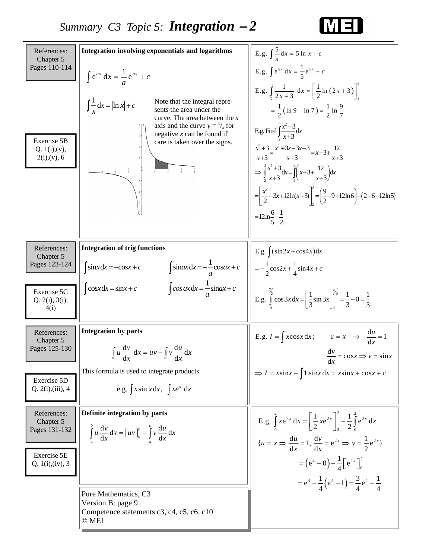

| References:<br>Chapter 5                                                     | <b>Integration involving exponentials and logarithms</b>                                                                                                                                                                                                                                | E.g. $\int \frac{5}{x} dx = 5 \ln x + c$                                                                                                                                                                                                                                                                                                                                                                                                                                                                                                           |
|------------------------------------------------------------------------------|-----------------------------------------------------------------------------------------------------------------------------------------------------------------------------------------------------------------------------------------------------------------------------------------|----------------------------------------------------------------------------------------------------------------------------------------------------------------------------------------------------------------------------------------------------------------------------------------------------------------------------------------------------------------------------------------------------------------------------------------------------------------------------------------------------------------------------------------------------|
| Pages 110-114<br>Exercise 5B<br>Q. 1(i), (v),<br>$2(i)$ , (v), 6             | $\int e^{ax} dx = \frac{1}{a}e^{ax} + c$<br>Note that the integral repre-<br>$\int_{-x}^{1} dx = \ln x + c$<br>sents the area under the<br>curve. The area between the $x$<br>axis and the curve $y = \frac{1}{x}$ for<br>negative $x$ can be found if<br>care is taken over the signs. | E.g. $\int e^{5x} dx = \frac{1}{5}e^{5x} + c$<br>E.g. $\int_{2}^{3} \frac{1}{2x+3} dx = \left[ \frac{1}{2} \ln (2x+3) \right]_{2}^{3}$<br>$=\frac{1}{2}(\ln 9 - \ln 7) = \frac{1}{2} \ln \frac{9}{7}$<br>E.g. Find $\int \frac{x^2+3}{x+3} dx$<br>$\frac{x^2+3}{x+3} = \frac{x^2+3x-3x+3}{x+3} = x-3+\frac{12}{x+3}$<br>$\Rightarrow \int \frac{x^2+3}{x+3} dx = \int \left( x-3+\frac{12}{x+3} \right) dx$<br>$=\left[\frac{x^2}{2}-3x+12\ln(x+3)\right]^3=\left(\frac{9}{2}-9+12\ln 6\right)-(2-6+12\ln 5)$<br>$=12\ln{\frac{6}{5}-\frac{1}{2}}$ |
| References:<br>Chapter 5<br>Pages 123-124                                    | <b>Integration of trig functions</b><br>$\int \sin ax \, dx = -\frac{1}{a} \cos ax + c$<br>$\int \sin x dx = -\cos x + c$                                                                                                                                                               | E.g. $\int (\sin 2x + \cos 4x) dx$<br>$=-\frac{1}{2}\cos 2x+\frac{1}{4}\sin 4x+c$                                                                                                                                                                                                                                                                                                                                                                                                                                                                  |
| Exercise 5C<br>Q. 2(i), 3(i),<br>4(i)                                        | $\int \cos ax \, dx = \frac{1}{c} \sin ax + c$<br>$\cos x dx = \sin x + c$                                                                                                                                                                                                              | E.g. $\int_{0}^{\frac{\pi}{6}} \cos 3x dx = \left[ \frac{1}{3} \sin 3x \right]_{0}^{\frac{\pi}{6}} = \frac{1}{3} - 0 = \frac{1}{3}$                                                                                                                                                                                                                                                                                                                                                                                                                |
| References:<br>Chapter 5<br>Pages 125-130                                    | <b>Integration by parts</b><br>$\int u \frac{dv}{dx} dx = uv - \int v \frac{du}{dx} dx$<br>dx<br>dx<br>This formula is used to integrate products.                                                                                                                                      | E.g. $I = \int x \cos x dx$ ; $u = x \implies \frac{du}{dx} = 1$<br>$\frac{dv}{dx} = \cos x \Rightarrow v = \sin x$<br>dx<br>$\Rightarrow$ I = xsinx - $\int$ 1.sinx dx = xsinx + cosx + c                                                                                                                                                                                                                                                                                                                                                         |
| Exercise 5D<br>Q. 2(i),(iii), 4                                              | e.g. $\int x \sin x dx$ , $\int xe^x dx$                                                                                                                                                                                                                                                |                                                                                                                                                                                                                                                                                                                                                                                                                                                                                                                                                    |
| References:<br>Chapter 5<br>Pages 131-132<br>Exercise 5E<br>Q. 1(i), (iv), 3 | Definite integration by parts<br>$\int_a^b u \frac{dv}{dx} dx = [uv]_a^b - \int_a^b v \frac{du}{dx} dx$                                                                                                                                                                                 | E.g. $\int_{0}^{2} xe^{2x} dx = \left[ \frac{1}{2} xe^{2x} \right]_{0}^{2} - \frac{1}{2} \int_{0}^{2} e^{2x} dx$<br>${u = x \Rightarrow \frac{du}{dx} = 1, \frac{dv}{dx} = e^{2x} \Rightarrow v = \frac{1}{2}e^{2x}}$<br>$=\left(e^4-0\right)-\frac{1}{4}\left[e^{2x}\right]_0^2$<br>$= e^4 - \frac{1}{4} (e^4 - 1) = \frac{3}{4} e^4 + \frac{1}{4}$                                                                                                                                                                                               |
|                                                                              | Pure Mathematics, C3<br>Version B: page 9<br>Competence statements c3, c4, c5, c6, c10<br>© MEI                                                                                                                                                                                         |                                                                                                                                                                                                                                                                                                                                                                                                                                                                                                                                                    |